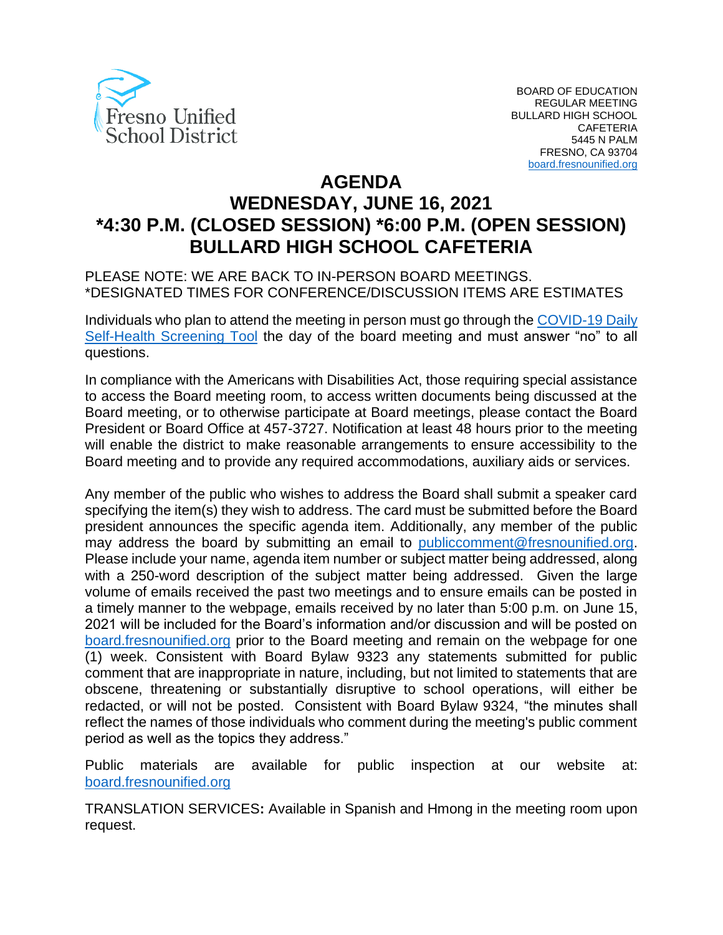

# **AGENDA WEDNESDAY, JUNE 16, 2021 \*4:30 P.M. (CLOSED SESSION) \*6:00 P.M. (OPEN SESSION) BULLARD HIGH SCHOOL CAFETERIA**

#### PLEASE NOTE: WE ARE BACK TO IN-PERSON BOARD MEETINGS. \*DESIGNATED TIMES FOR CONFERENCE/DISCUSSION ITEMS ARE ESTIMATES

Individuals who plan to attend the meeting in person must go through the *COVID-19 Daily* [Self-Health Screening Tool](https://health.fresnounified.org/wp-content/uploads/FUSD-Self-Health-Screening-Tool.pdf) the day of the board meeting and must answer "no" to all questions.

In compliance with the Americans with Disabilities Act, those requiring special assistance to access the Board meeting room, to access written documents being discussed at the Board meeting, or to otherwise participate at Board meetings, please contact the Board President or Board Office at 457-3727. Notification at least 48 hours prior to the meeting will enable the district to make reasonable arrangements to ensure accessibility to the Board meeting and to provide any required accommodations, auxiliary aids or services.

Any member of the public who wishes to address the Board shall submit a speaker card specifying the item(s) they wish to address. The card must be submitted before the Board president announces the specific agenda item. Additionally, any member of the public may address the board by submitting an email to *[publiccomment@fresnounified.org.](mailto:publiccomment@fresnounified.org) 31T*Please include your name, agenda item number or subject matter being addressed, along with a 250-word description of the subject matter being addressed. Given the large volume of emails received the past two meetings and to ensure emails can be posted in a timely manner to the webpage, emails received by no later than 5:00 p.m. on June 15, 2021 will be included for the Board's information and/or discussion and will be posted on [board.fresnounified.org](https://board.fresnounified.org/) prior to the Board meeting and remain on the webpage for one (1) week. Consistent with Board Bylaw 9323 any statements submitted for public comment that are inappropriate in nature, including, but not limited to statements that are obscene, threatening or substantially disruptive to school operations, will either be redacted, or will not be posted. Consistent with Board Bylaw 9324, "the minutes shall reflect the names of those individuals who comment during the meeting's public comment period as well as the topics they address."

Public materials are available for public inspection at our website at: [board.fresnounified.org](https://board.fresnounified.org/)

TRANSLATION SERVICES**:** Available in Spanish and Hmong in the meeting room upon request.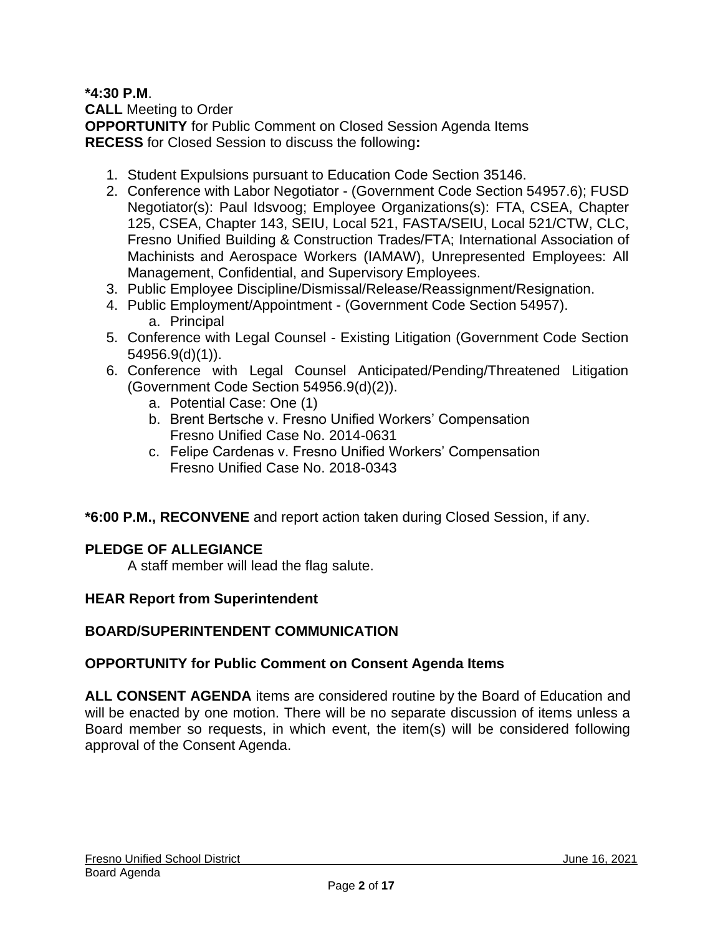### **\*4:30 P.M**.

**CALL** Meeting to Order **OPPORTUNITY** for Public Comment on Closed Session Agenda Items **RECESS** for Closed Session to discuss the following**:**

- 1. Student Expulsions pursuant to Education Code Section 35146.
- 2. Conference with Labor Negotiator (Government Code Section 54957.6); FUSD Negotiator(s): Paul Idsvoog; Employee Organizations(s): FTA, CSEA, Chapter 125, CSEA, Chapter 143, SEIU, Local 521, FASTA/SEIU, Local 521/CTW, CLC, Fresno Unified Building & Construction Trades/FTA; International Association of Machinists and Aerospace Workers (IAMAW), Unrepresented Employees: All Management, Confidential, and Supervisory Employees.
- 3. Public Employee Discipline/Dismissal/Release/Reassignment/Resignation.
- 4. Public Employment/Appointment (Government Code Section 54957). a. Principal
- 5. Conference with Legal Counsel Existing Litigation (Government Code Section 54956.9(d)(1)).
- 6. Conference with Legal Counsel Anticipated/Pending/Threatened Litigation (Government Code Section 54956.9(d)(2)).
	- a. Potential Case: One (1)
	- b. Brent Bertsche v. Fresno Unified Workers' Compensation Fresno Unified Case No. 2014-0631
	- c. Felipe Cardenas v. Fresno Unified Workers' Compensation Fresno Unified Case No. 2018-0343

**\*6:00 P.M., RECONVENE** and report action taken during Closed Session, if any.

# **PLEDGE OF ALLEGIANCE**

A staff member will lead the flag salute.

# **HEAR Report from Superintendent**

# **BOARD/SUPERINTENDENT COMMUNICATION**

# **OPPORTUNITY for Public Comment on Consent Agenda Items**

**ALL CONSENT AGENDA** items are considered routine by the Board of Education and will be enacted by one motion. There will be no separate discussion of items unless a Board member so requests, in which event, the item(s) will be considered following approval of the Consent Agenda.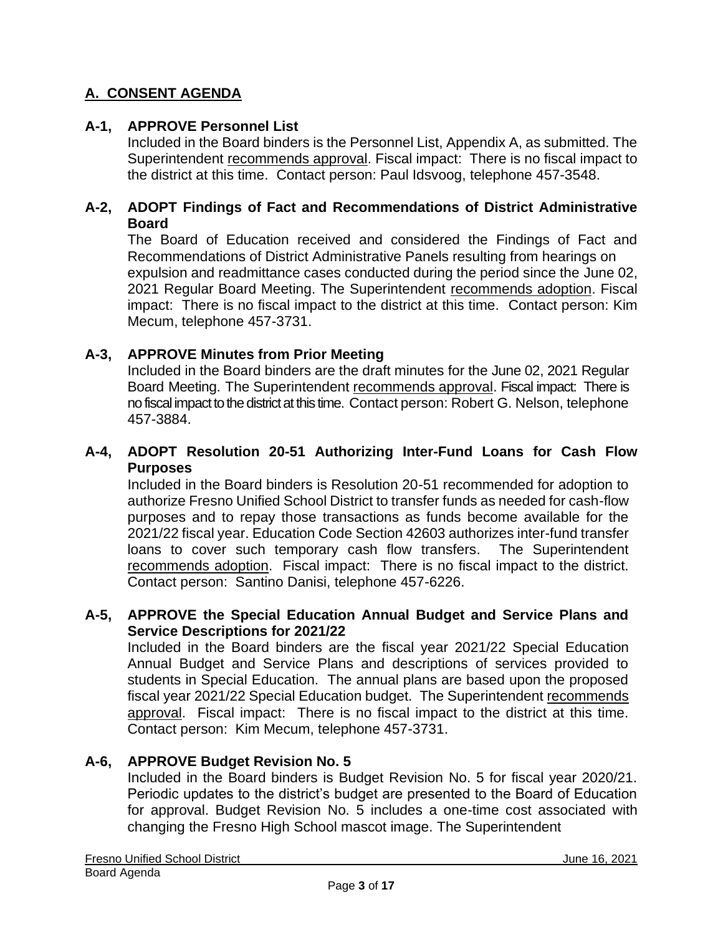# **A. CONSENT AGENDA**

#### **A-1, APPROVE Personnel List**

Included in the Board binders is the Personnel List, Appendix A, as submitted. The Superintendent recommends approval. Fiscal impact: There is no fiscal impact to the district at this time. Contact person: Paul Idsvoog, telephone 457-3548.

#### **A-2, ADOPT Findings of Fact and Recommendations of District Administrative Board**

The Board of Education received and considered the Findings of Fact and Recommendations of District Administrative Panels resulting from hearings on expulsion and readmittance cases conducted during the period since the June 02, 2021 Regular Board Meeting. The Superintendent recommends adoption. Fiscal impact: There is no fiscal impact to the district at this time. Contact person: Kim Mecum, telephone 457-3731.

#### **A-3, APPROVE Minutes from Prior Meeting**

Included in the Board binders are the draft minutes for the June 02, 2021 Regular Board Meeting. The Superintendent recommends approval. Fiscal impact: There is no fiscal impact to the district at this time. Contact person: Robert G. Nelson, telephone 457-3884.

### **A-4, ADOPT Resolution 20-51 Authorizing Inter-Fund Loans for Cash Flow Purposes**

Included in the Board binders is Resolution 20-51 recommended for adoption to authorize Fresno Unified School District to transfer funds as needed for cash-flow purposes and to repay those transactions as funds become available for the 2021/22 fiscal year. Education Code Section 42603 authorizes inter-fund transfer loans to cover such temporary cash flow transfers. The Superintendent recommends adoption. Fiscal impact: There is no fiscal impact to the district. Contact person: Santino Danisi, telephone 457-6226.

#### **A-5, APPROVE the Special Education Annual Budget and Service Plans and Service Descriptions for 2021/22**

Included in the Board binders are the fiscal year 2021/22 Special Education Annual Budget and Service Plans and descriptions of services provided to students in Special Education. The annual plans are based upon the proposed fiscal year 2021/22 Special Education budget. The Superintendent recommends approval. Fiscal impact: There is no fiscal impact to the district at this time. Contact person: Kim Mecum, telephone 457-3731.

#### **A-6, APPROVE Budget Revision No. 5**

Included in the Board binders is Budget Revision No. 5 for fiscal year 2020/21. Periodic updates to the district's budget are presented to the Board of Education for approval. Budget Revision No. 5 includes a one-time cost associated with changing the Fresno High School mascot image. The Superintendent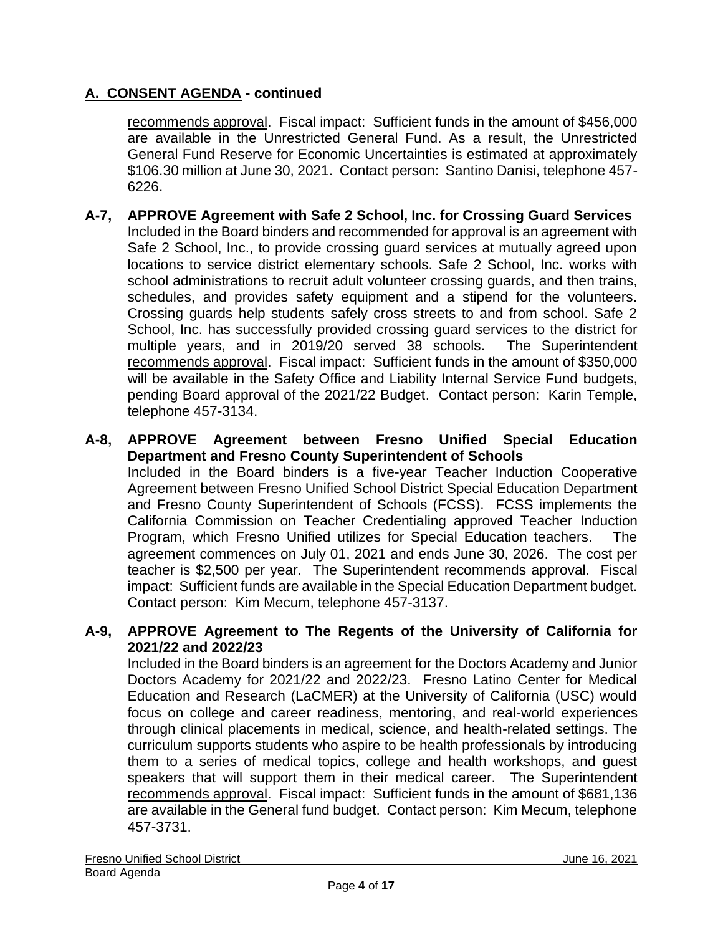recommends approval. Fiscal impact: Sufficient funds in the amount of \$456,000 are available in the Unrestricted General Fund. As a result, the Unrestricted General Fund Reserve for Economic Uncertainties is estimated at approximately \$106.30 million at June 30, 2021. Contact person: Santino Danisi, telephone 457- 6226.

**A-7, APPROVE Agreement with Safe 2 School, Inc. for Crossing Guard Services** Included in the Board binders and recommended for approval is an agreement with Safe 2 School, Inc., to provide crossing guard services at mutually agreed upon locations to service district elementary schools. Safe 2 School, Inc. works with school administrations to recruit adult volunteer crossing guards, and then trains, schedules, and provides safety equipment and a stipend for the volunteers. Crossing guards help students safely cross streets to and from school. Safe 2 School, Inc. has successfully provided crossing guard services to the district for multiple years, and in 2019/20 served 38 schools. The Superintendent recommends approval. Fiscal impact: Sufficient funds in the amount of \$350,000 will be available in the Safety Office and Liability Internal Service Fund budgets, pending Board approval of the 2021/22 Budget. Contact person: Karin Temple, telephone 457-3134.

### **A-8, APPROVE Agreement between Fresno Unified Special Education Department and Fresno County Superintendent of Schools**

Included in the Board binders is a five-year Teacher Induction Cooperative Agreement between Fresno Unified School District Special Education Department and Fresno County Superintendent of Schools (FCSS). FCSS implements the California Commission on Teacher Credentialing approved Teacher Induction Program, which Fresno Unified utilizes for Special Education teachers. The agreement commences on July 01, 2021 and ends June 30, 2026. The cost per teacher is \$2,500 per year. The Superintendent recommends approval. Fiscal impact: Sufficient funds are available in the Special Education Department budget. Contact person: Kim Mecum, telephone 457-3137.

### **A-9, APPROVE Agreement to The Regents of the University of California for 2021/22 and 2022/23**

Included in the Board binders is an agreement for the Doctors Academy and Junior Doctors Academy for 2021/22 and 2022/23. Fresno Latino Center for Medical Education and Research (LaCMER) at the University of California (USC) would focus on college and career readiness, mentoring, and real-world experiences through clinical placements in medical, science, and health-related settings. The curriculum supports students who aspire to be health professionals by introducing them to a series of medical topics, college and health workshops, and guest speakers that will support them in their medical career. The Superintendent recommends approval. Fiscal impact: Sufficient funds in the amount of \$681,136 are available in the General fund budget. Contact person: Kim Mecum, telephone 457-3731.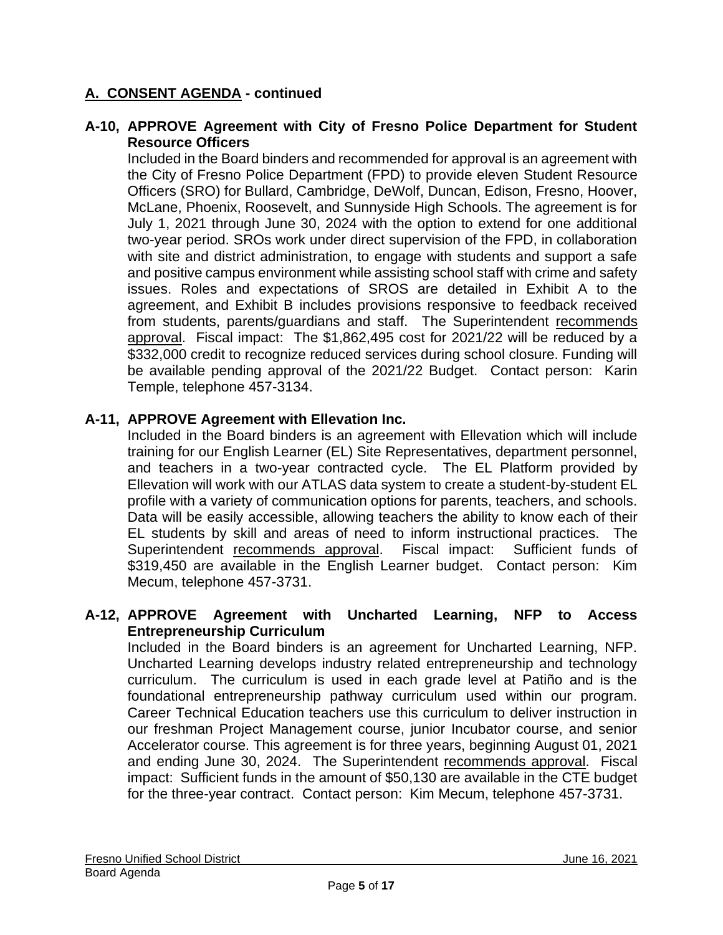#### **A-10, APPROVE Agreement with City of Fresno Police Department for Student Resource Officers**

Included in the Board binders and recommended for approval is an agreement with the City of Fresno Police Department (FPD) to provide eleven Student Resource Officers (SRO) for Bullard, Cambridge, DeWolf, Duncan, Edison, Fresno, Hoover, McLane, Phoenix, Roosevelt, and Sunnyside High Schools. The agreement is for July 1, 2021 through June 30, 2024 with the option to extend for one additional two-year period. SROs work under direct supervision of the FPD, in collaboration with site and district administration, to engage with students and support a safe and positive campus environment while assisting school staff with crime and safety issues. Roles and expectations of SROS are detailed in Exhibit A to the agreement, and Exhibit B includes provisions responsive to feedback received from students, parents/guardians and staff. The Superintendent recommends approval. Fiscal impact: The \$1,862,495 cost for 2021/22 will be reduced by a \$332,000 credit to recognize reduced services during school closure. Funding will be available pending approval of the 2021/22 Budget. Contact person: Karin Temple, telephone 457-3134.

### **A-11, APPROVE Agreement with Ellevation Inc.**

Included in the Board binders is an agreement with Ellevation which will include training for our English Learner (EL) Site Representatives, department personnel, and teachers in a two-year contracted cycle. The EL Platform provided by Ellevation will work with our ATLAS data system to create a student-by-student EL profile with a variety of communication options for parents, teachers, and schools. Data will be easily accessible, allowing teachers the ability to know each of their EL students by skill and areas of need to inform instructional practices. The Superintendent recommends approval. Fiscal impact: Sufficient funds of \$319,450 are available in the English Learner budget. Contact person: Kim Mecum, telephone 457-3731.

#### **A-12, APPROVE Agreement with Uncharted Learning, NFP to Access Entrepreneurship Curriculum**

Included in the Board binders is an agreement for Uncharted Learning, NFP. Uncharted Learning develops industry related entrepreneurship and technology curriculum. The curriculum is used in each grade level at Patiño and is the foundational entrepreneurship pathway curriculum used within our program. Career Technical Education teachers use this curriculum to deliver instruction in our freshman Project Management course, junior Incubator course, and senior Accelerator course. This agreement is for three years, beginning August 01, 2021 and ending June 30, 2024. The Superintendent recommends approval. Fiscal impact: Sufficient funds in the amount of \$50,130 are available in the CTE budget for the three-year contract. Contact person: Kim Mecum, telephone 457-3731.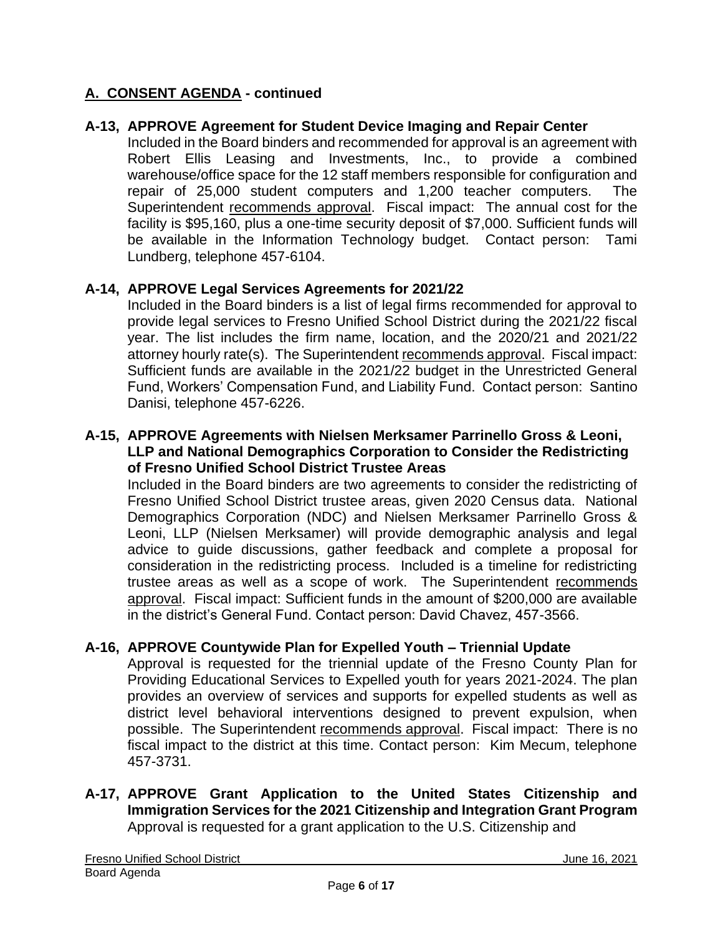### **A-13, APPROVE Agreement for Student Device Imaging and Repair Center**

Included in the Board binders and recommended for approval is an agreement with Robert Ellis Leasing and Investments, Inc., to provide a combined warehouse/office space for the 12 staff members responsible for configuration and repair of 25,000 student computers and 1,200 teacher computers. The Superintendent recommends approval. Fiscal impact: The annual cost for the facility is \$95,160, plus a one-time security deposit of \$7,000. Sufficient funds will be available in the Information Technology budget. Contact person: Tami Lundberg, telephone 457-6104.

### **A-14, APPROVE Legal Services Agreements for 2021/22**

Included in the Board binders is a list of legal firms recommended for approval to provide legal services to Fresno Unified School District during the 2021/22 fiscal year. The list includes the firm name, location, and the 2020/21 and 2021/22 attorney hourly rate(s). The Superintendent recommends approval. Fiscal impact: Sufficient funds are available in the 2021/22 budget in the Unrestricted General Fund, Workers' Compensation Fund, and Liability Fund. Contact person: Santino Danisi, telephone 457-6226.

#### **A-15, APPROVE Agreements with Nielsen Merksamer Parrinello Gross & Leoni, LLP and National Demographics Corporation to Consider the Redistricting of Fresno Unified School District Trustee Areas**

Included in the Board binders are two agreements to consider the redistricting of Fresno Unified School District trustee areas, given 2020 Census data. National Demographics Corporation (NDC) and Nielsen Merksamer Parrinello Gross & Leoni, LLP (Nielsen Merksamer) will provide demographic analysis and legal advice to guide discussions, gather feedback and complete a proposal for consideration in the redistricting process. Included is a timeline for redistricting trustee areas as well as a scope of work. The Superintendent recommends approval. Fiscal impact: Sufficient funds in the amount of \$200,000 are available in the district's General Fund. Contact person: David Chavez, 457-3566.

#### **A-16, APPROVE Countywide Plan for Expelled Youth – Triennial Update**

Approval is requested for the triennial update of the Fresno County Plan for Providing Educational Services to Expelled youth for years 2021-2024. The plan provides an overview of services and supports for expelled students as well as district level behavioral interventions designed to prevent expulsion, when possible. The Superintendent recommends approval. Fiscal impact: There is no fiscal impact to the district at this time. Contact person: Kim Mecum, telephone 457-3731.

### **A-17, APPROVE Grant Application to the United States Citizenship and Immigration Services for the 2021 Citizenship and Integration Grant Program** Approval is requested for a grant application to the U.S. Citizenship and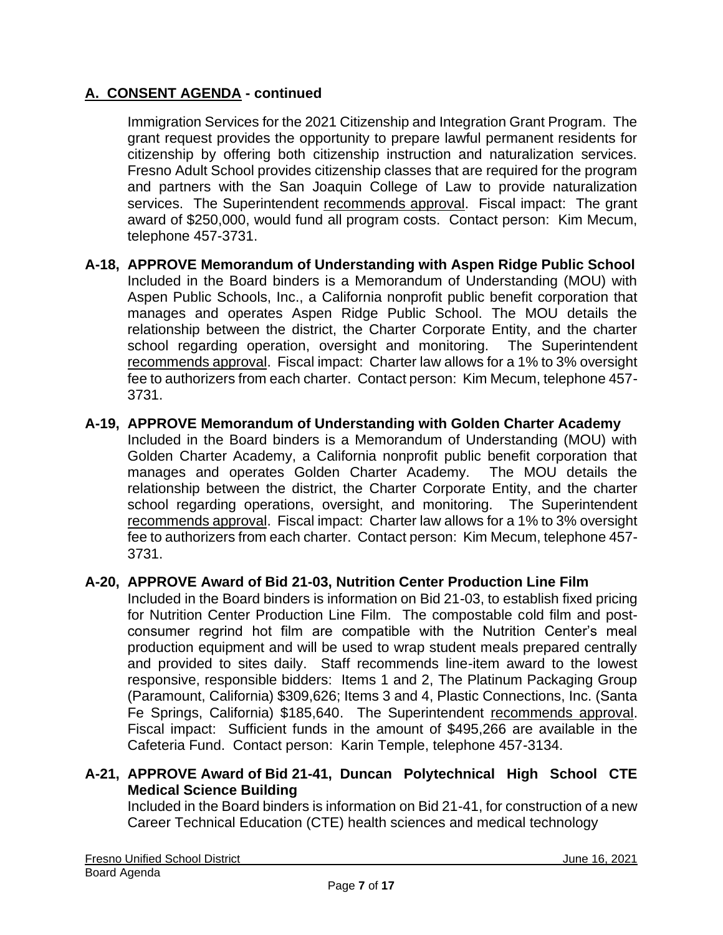Immigration Services for the 2021 Citizenship and Integration Grant Program. The grant request provides the opportunity to prepare lawful permanent residents for citizenship by offering both citizenship instruction and naturalization services. Fresno Adult School provides citizenship classes that are required for the program and partners with the San Joaquin College of Law to provide naturalization services. The Superintendent recommends approval. Fiscal impact: The grant award of \$250,000, would fund all program costs. Contact person: Kim Mecum, telephone 457-3731.

- **A-18, APPROVE Memorandum of Understanding with Aspen Ridge Public School** Included in the Board binders is a Memorandum of Understanding (MOU) with Aspen Public Schools, Inc., a California nonprofit public benefit corporation that manages and operates Aspen Ridge Public School. The MOU details the relationship between the district, the Charter Corporate Entity, and the charter school regarding operation, oversight and monitoring. The Superintendent recommends approval. Fiscal impact: Charter law allows for a 1% to 3% oversight fee to authorizers from each charter. Contact person: Kim Mecum, telephone 457- 3731.
- **A-19, APPROVE Memorandum of Understanding with Golden Charter Academy** Included in the Board binders is a Memorandum of Understanding (MOU) with Golden Charter Academy, a California nonprofit public benefit corporation that manages and operates Golden Charter Academy. The MOU details the relationship between the district, the Charter Corporate Entity, and the charter school regarding operations, oversight, and monitoring. The Superintendent recommends approval. Fiscal impact: Charter law allows for a 1% to 3% oversight fee to authorizers from each charter. Contact person: Kim Mecum, telephone 457- 3731.

#### **A-20, APPROVE Award of Bid 21-03, Nutrition Center Production Line Film**

Included in the Board binders is information on Bid 21-03, to establish fixed pricing for Nutrition Center Production Line Film. The compostable cold film and postconsumer regrind hot film are compatible with the Nutrition Center's meal production equipment and will be used to wrap student meals prepared centrally and provided to sites daily. Staff recommends line-item award to the lowest responsive, responsible bidders: Items 1 and 2, The Platinum Packaging Group (Paramount, California) \$309,626; Items 3 and 4, Plastic Connections, Inc. (Santa Fe Springs, California) \$185,640. The Superintendent recommends approval. Fiscal impact: Sufficient funds in the amount of \$495,266 are available in the Cafeteria Fund. Contact person: Karin Temple, telephone 457-3134.

### **A-21, APPROVE Award of Bid 21-41, Duncan Polytechnical High School CTE Medical Science Building**

Included in the Board binders is information on Bid 21-41, for construction of a new Career Technical Education (CTE) health sciences and medical technology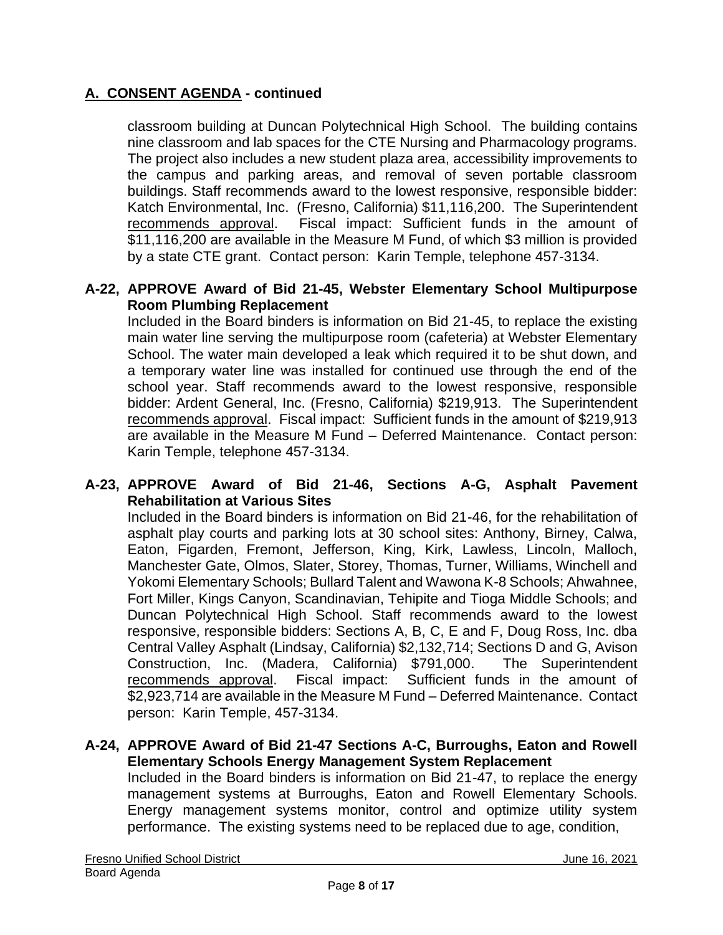classroom building at Duncan Polytechnical High School. The building contains nine classroom and lab spaces for the CTE Nursing and Pharmacology programs. The project also includes a new student plaza area, accessibility improvements to the campus and parking areas, and removal of seven portable classroom buildings. Staff recommends award to the lowest responsive, responsible bidder: Katch Environmental, Inc. (Fresno, California) \$11,116,200. The Superintendent recommends approval. Fiscal impact: Sufficient funds in the amount of \$11,116,200 are available in the Measure M Fund, of which \$3 million is provided by a state CTE grant. Contact person: Karin Temple, telephone 457-3134.

### **A-22, APPROVE Award of Bid 21-45, Webster Elementary School Multipurpose Room Plumbing Replacement**

Included in the Board binders is information on Bid 21-45, to replace the existing main water line serving the multipurpose room (cafeteria) at Webster Elementary School. The water main developed a leak which required it to be shut down, and a temporary water line was installed for continued use through the end of the school year. Staff recommends award to the lowest responsive, responsible bidder: Ardent General, Inc. (Fresno, California) \$219,913. The Superintendent recommends approval. Fiscal impact: Sufficient funds in the amount of \$219,913 are available in the Measure M Fund – Deferred Maintenance. Contact person: Karin Temple, telephone 457-3134.

#### **A-23, APPROVE Award of Bid 21-46, Sections A-G, Asphalt Pavement Rehabilitation at Various Sites**

Included in the Board binders is information on Bid 21-46, for the rehabilitation of asphalt play courts and parking lots at 30 school sites: Anthony, Birney, Calwa, Eaton, Figarden, Fremont, Jefferson, King, Kirk, Lawless, Lincoln, Malloch, Manchester Gate, Olmos, Slater, Storey, Thomas, Turner, Williams, Winchell and Yokomi Elementary Schools; Bullard Talent and Wawona K-8 Schools; Ahwahnee, Fort Miller, Kings Canyon, Scandinavian, Tehipite and Tioga Middle Schools; and Duncan Polytechnical High School. Staff recommends award to the lowest responsive, responsible bidders: Sections A, B, C, E and F, Doug Ross, Inc. dba Central Valley Asphalt (Lindsay, California) \$2,132,714; Sections D and G, Avison Construction, Inc. (Madera, California) \$791,000. The Superintendent recommends approval. Fiscal impact: Sufficient funds in the amount of \$2,923,714 are available in the Measure M Fund – Deferred Maintenance. Contact person: Karin Temple, 457-3134.

#### **A-24, APPROVE Award of Bid 21-47 Sections A-C, Burroughs, Eaton and Rowell Elementary Schools Energy Management System Replacement**

Included in the Board binders is information on Bid 21-47, to replace the energy management systems at Burroughs, Eaton and Rowell Elementary Schools. Energy management systems monitor, control and optimize utility system performance. The existing systems need to be replaced due to age, condition,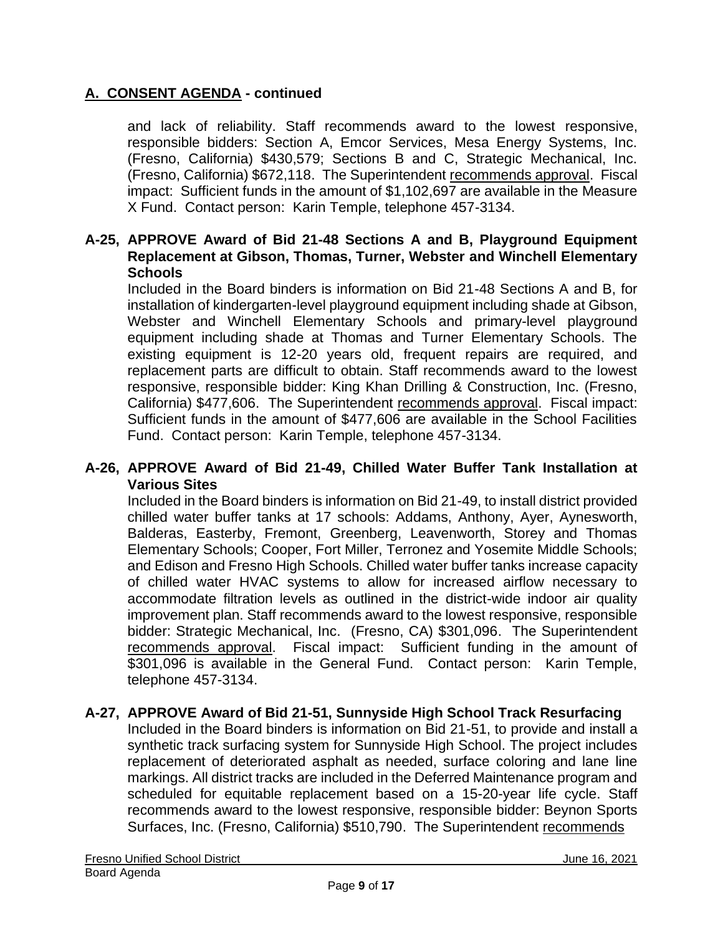and lack of reliability. Staff recommends award to the lowest responsive, responsible bidders: Section A, Emcor Services, Mesa Energy Systems, Inc. (Fresno, California) \$430,579; Sections B and C, Strategic Mechanical, Inc. (Fresno, California) \$672,118. The Superintendent recommends approval. Fiscal impact: Sufficient funds in the amount of \$1,102,697 are available in the Measure X Fund. Contact person: Karin Temple, telephone 457-3134.

#### **A-25, APPROVE Award of Bid 21-48 Sections A and B, Playground Equipment Replacement at Gibson, Thomas, Turner, Webster and Winchell Elementary Schools**

Included in the Board binders is information on Bid 21-48 Sections A and B, for installation of kindergarten-level playground equipment including shade at Gibson, Webster and Winchell Elementary Schools and primary-level playground equipment including shade at Thomas and Turner Elementary Schools. The existing equipment is 12-20 years old, frequent repairs are required, and replacement parts are difficult to obtain. Staff recommends award to the lowest responsive, responsible bidder: King Khan Drilling & Construction, Inc. (Fresno, California) \$477,606. The Superintendent recommends approval. Fiscal impact: Sufficient funds in the amount of \$477,606 are available in the School Facilities Fund. Contact person: Karin Temple, telephone 457-3134.

#### **A-26, APPROVE Award of Bid 21-49, Chilled Water Buffer Tank Installation at Various Sites**

Included in the Board binders is information on Bid 21-49, to install district provided chilled water buffer tanks at 17 schools: Addams, Anthony, Ayer, Aynesworth, Balderas, Easterby, Fremont, Greenberg, Leavenworth, Storey and Thomas Elementary Schools; Cooper, Fort Miller, Terronez and Yosemite Middle Schools; and Edison and Fresno High Schools. Chilled water buffer tanks increase capacity of chilled water HVAC systems to allow for increased airflow necessary to accommodate filtration levels as outlined in the district-wide indoor air quality improvement plan. Staff recommends award to the lowest responsive, responsible bidder: Strategic Mechanical, Inc. (Fresno, CA) \$301,096. The Superintendent recommends approval. Fiscal impact: Sufficient funding in the amount of \$301,096 is available in the General Fund. Contact person: Karin Temple, telephone 457-3134.

#### **A-27, APPROVE Award of Bid 21-51, Sunnyside High School Track Resurfacing**

Included in the Board binders is information on Bid 21-51, to provide and install a synthetic track surfacing system for Sunnyside High School. The project includes replacement of deteriorated asphalt as needed, surface coloring and lane line markings. All district tracks are included in the Deferred Maintenance program and scheduled for equitable replacement based on a 15-20-year life cycle. Staff recommends award to the lowest responsive, responsible bidder: Beynon Sports Surfaces, Inc. (Fresno, California) \$510,790. The Superintendent recommends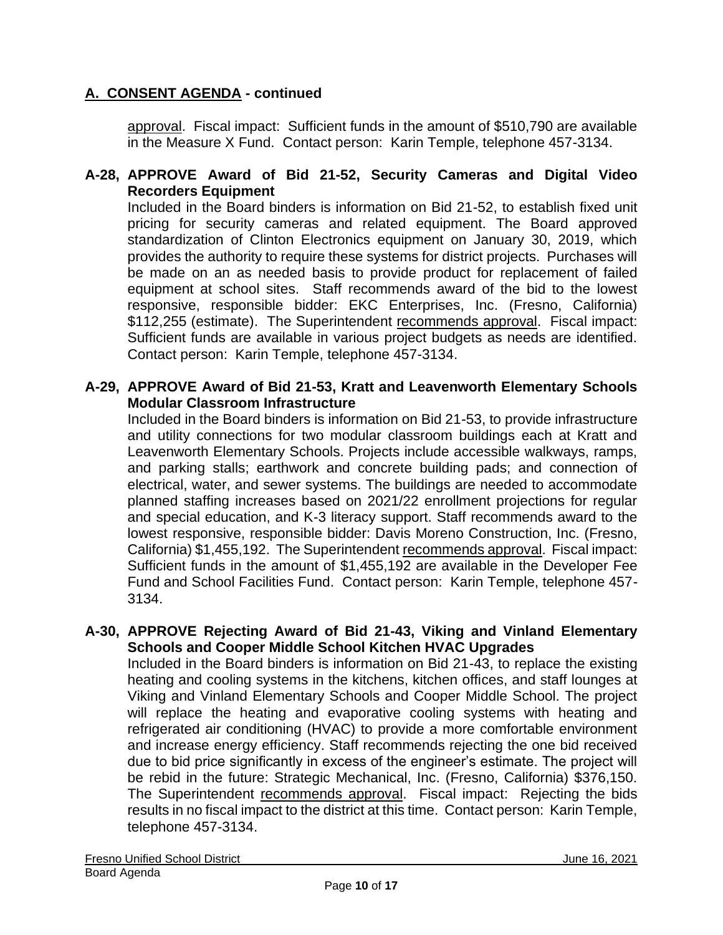approval. Fiscal impact: Sufficient funds in the amount of \$510,790 are available in the Measure X Fund. Contact person: Karin Temple, telephone 457-3134.

### **A-28, APPROVE Award of Bid 21-52, Security Cameras and Digital Video Recorders Equipment**

Included in the Board binders is information on Bid 21-52, to establish fixed unit pricing for security cameras and related equipment. The Board approved standardization of Clinton Electronics equipment on January 30, 2019, which provides the authority to require these systems for district projects. Purchases will be made on an as needed basis to provide product for replacement of failed equipment at school sites. Staff recommends award of the bid to the lowest responsive, responsible bidder: EKC Enterprises, Inc. (Fresno, California) \$112,255 (estimate). The Superintendent recommends approval. Fiscal impact: Sufficient funds are available in various project budgets as needs are identified. Contact person: Karin Temple, telephone 457-3134.

### **A-29, APPROVE Award of Bid 21-53, Kratt and Leavenworth Elementary Schools Modular Classroom Infrastructure**

Included in the Board binders is information on Bid 21-53, to provide infrastructure and utility connections for two modular classroom buildings each at Kratt and Leavenworth Elementary Schools. Projects include accessible walkways, ramps, and parking stalls; earthwork and concrete building pads; and connection of electrical, water, and sewer systems. The buildings are needed to accommodate planned staffing increases based on 2021/22 enrollment projections for regular and special education, and K-3 literacy support. Staff recommends award to the lowest responsive, responsible bidder: Davis Moreno Construction, Inc. (Fresno, California) \$1,455,192. The Superintendent recommends approval. Fiscal impact: Sufficient funds in the amount of \$1,455,192 are available in the Developer Fee Fund and School Facilities Fund. Contact person: Karin Temple, telephone 457- 3134.

### **A-30, APPROVE Rejecting Award of Bid 21-43, Viking and Vinland Elementary Schools and Cooper Middle School Kitchen HVAC Upgrades**

Included in the Board binders is information on Bid 21-43, to replace the existing heating and cooling systems in the kitchens, kitchen offices, and staff lounges at Viking and Vinland Elementary Schools and Cooper Middle School. The project will replace the heating and evaporative cooling systems with heating and refrigerated air conditioning (HVAC) to provide a more comfortable environment and increase energy efficiency. Staff recommends rejecting the one bid received due to bid price significantly in excess of the engineer's estimate. The project will be rebid in the future: Strategic Mechanical, Inc. (Fresno, California) \$376,150. The Superintendent recommends approval. Fiscal impact: Rejecting the bids results in no fiscal impact to the district at this time. Contact person: Karin Temple, telephone 457-3134.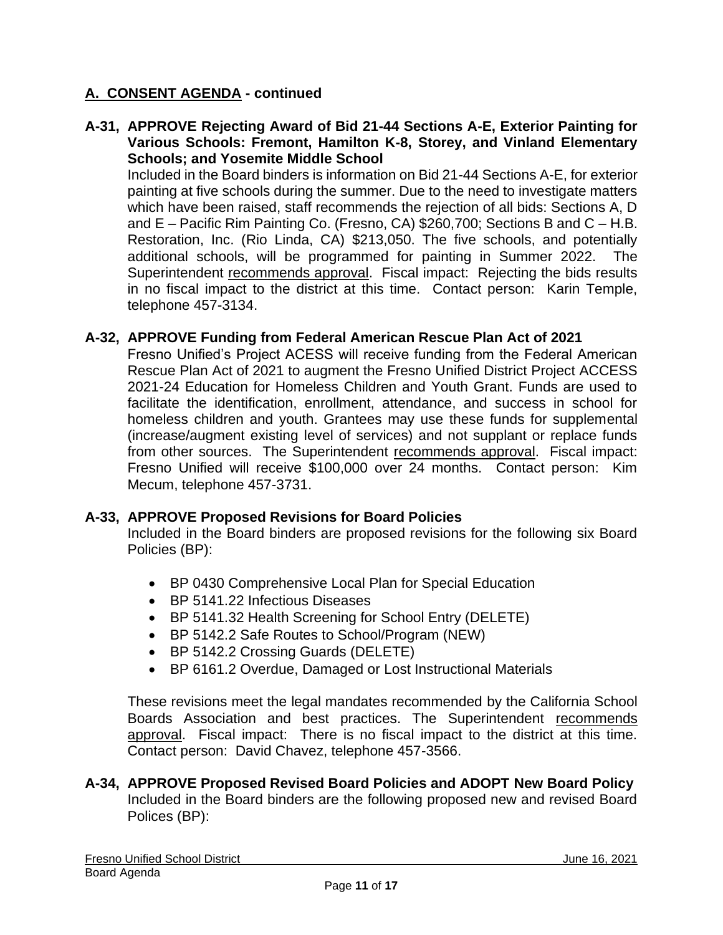**A-31, APPROVE Rejecting Award of Bid 21-44 Sections A-E, Exterior Painting for Various Schools: Fremont, Hamilton K-8, Storey, and Vinland Elementary Schools; and Yosemite Middle School**

Included in the Board binders is information on Bid 21-44 Sections A-E, for exterior painting at five schools during the summer. Due to the need to investigate matters which have been raised, staff recommends the rejection of all bids: Sections A, D and E – Pacific Rim Painting Co. (Fresno, CA) \$260,700; Sections B and C – H.B. Restoration, Inc. (Rio Linda, CA) \$213,050. The five schools, and potentially additional schools, will be programmed for painting in Summer 2022. The Superintendent recommends approval. Fiscal impact: Rejecting the bids results in no fiscal impact to the district at this time. Contact person: Karin Temple, telephone 457-3134.

### **A-32, APPROVE Funding from Federal American Rescue Plan Act of 2021**

Fresno Unified's Project ACESS will receive funding from the Federal American Rescue Plan Act of 2021 to augment the Fresno Unified District Project ACCESS 2021-24 Education for Homeless Children and Youth Grant. Funds are used to facilitate the identification, enrollment, attendance, and success in school for homeless children and youth. Grantees may use these funds for supplemental (increase/augment existing level of services) and not supplant or replace funds from other sources. The Superintendent recommends approval. Fiscal impact: Fresno Unified will receive \$100,000 over 24 months. Contact person: Kim Mecum, telephone 457-3731.

#### **A-33, APPROVE Proposed Revisions for Board Policies**

Included in the Board binders are proposed revisions for the following six Board Policies (BP):

- BP 0430 Comprehensive Local Plan for Special Education
- BP 5141.22 Infectious Diseases
- BP 5141.32 Health Screening for School Entry (DELETE)
- BP 5142.2 Safe Routes to School/Program (NEW)
- BP 5142.2 Crossing Guards (DELETE)
- BP 6161.2 Overdue, Damaged or Lost Instructional Materials

These revisions meet the legal mandates recommended by the California School Boards Association and best practices. The Superintendent recommends approval. Fiscal impact: There is no fiscal impact to the district at this time. Contact person: David Chavez, telephone 457-3566.

**A-34, APPROVE Proposed Revised Board Policies and ADOPT New Board Policy** Included in the Board binders are the following proposed new and revised Board Polices (BP):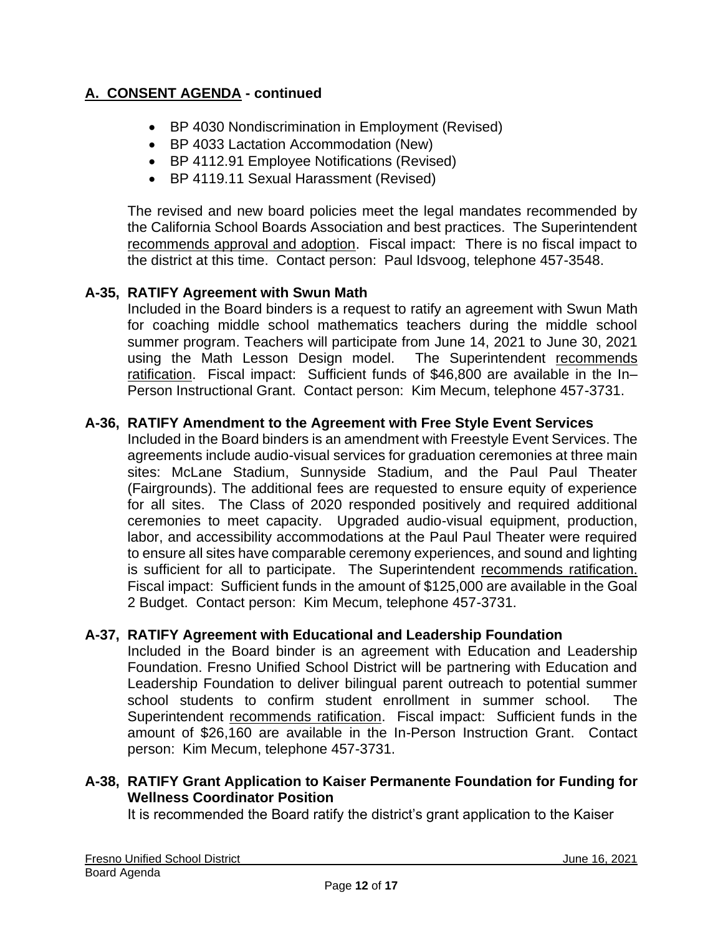- BP 4030 Nondiscrimination in Employment (Revised)
- BP 4033 Lactation Accommodation (New)
- BP 4112.91 Employee Notifications (Revised)
- BP 4119.11 Sexual Harassment (Revised)

The revised and new board policies meet the legal mandates recommended by the California School Boards Association and best practices. The Superintendent recommends approval and adoption. Fiscal impact: There is no fiscal impact to the district at this time. Contact person: Paul Idsvoog, telephone 457-3548.

### **A-35, RATIFY Agreement with Swun Math**

Included in the Board binders is a request to ratify an agreement with Swun Math for coaching middle school mathematics teachers during the middle school summer program. Teachers will participate from June 14, 2021 to June 30, 2021 using the Math Lesson Design model. The Superintendent recommends ratification. Fiscal impact: Sufficient funds of \$46,800 are available in the In– Person Instructional Grant. Contact person: Kim Mecum, telephone 457-3731.

### **A-36, RATIFY Amendment to the Agreement with Free Style Event Services**

Included in the Board binders is an amendment with Freestyle Event Services. The agreements include audio-visual services for graduation ceremonies at three main sites: McLane Stadium, Sunnyside Stadium, and the Paul Paul Theater (Fairgrounds). The additional fees are requested to ensure equity of experience for all sites. The Class of 2020 responded positively and required additional ceremonies to meet capacity. Upgraded audio-visual equipment, production, labor, and accessibility accommodations at the Paul Paul Theater were required to ensure all sites have comparable ceremony experiences, and sound and lighting is sufficient for all to participate. The Superintendent recommends ratification. Fiscal impact: Sufficient funds in the amount of \$125,000 are available in the Goal 2 Budget. Contact person: Kim Mecum, telephone 457-3731.

#### **A-37, RATIFY Agreement with Educational and Leadership Foundation**

Included in the Board binder is an agreement with Education and Leadership Foundation. Fresno Unified School District will be partnering with Education and Leadership Foundation to deliver bilingual parent outreach to potential summer school students to confirm student enrollment in summer school. The Superintendent recommends ratification. Fiscal impact: Sufficient funds in the amount of \$26,160 are available in the In-Person Instruction Grant. Contact person: Kim Mecum, telephone 457-3731.

# **A-38, RATIFY Grant Application to Kaiser Permanente Foundation for Funding for Wellness Coordinator Position**

It is recommended the Board ratify the district's grant application to the Kaiser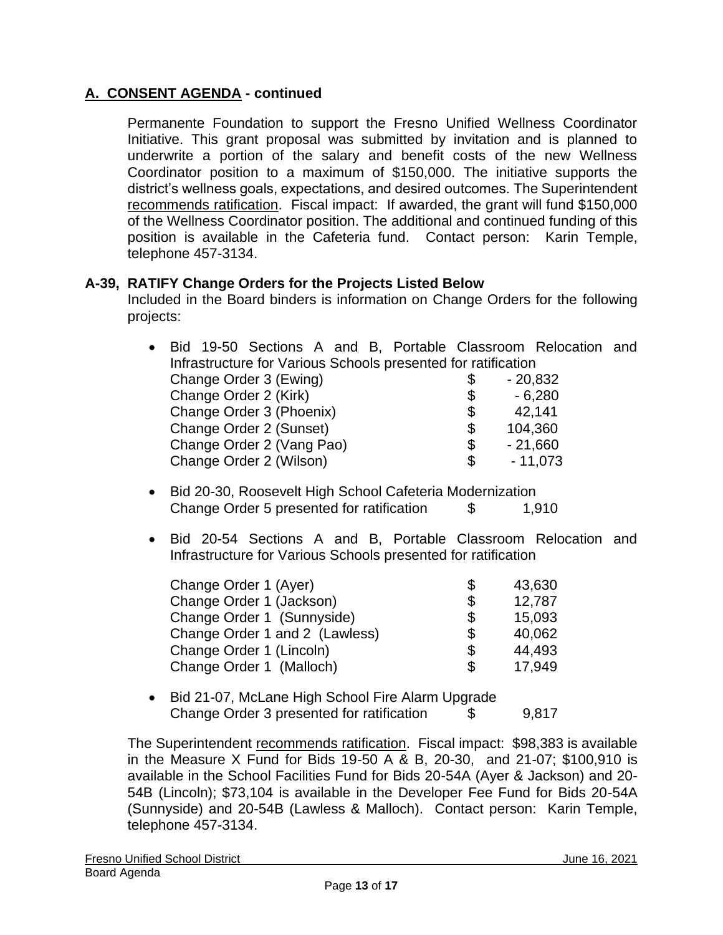Permanente Foundation to support the Fresno Unified Wellness Coordinator Initiative. This grant proposal was submitted by invitation and is planned to underwrite a portion of the salary and benefit costs of the new Wellness Coordinator position to a maximum of \$150,000. The initiative supports the district's wellness goals, expectations, and desired outcomes. The Superintendent recommends ratification. Fiscal impact: If awarded, the grant will fund \$150,000 of the Wellness Coordinator position. The additional and continued funding of this position is available in the Cafeteria fund. Contact person: Karin Temple, telephone 457-3134.

### **A-39, RATIFY Change Orders for the Projects Listed Below**

Included in the Board binders is information on Change Orders for the following projects:

| $\bullet$ | Bid 19-50 Sections A and B, Portable Classroom Relocation and |    |           |  |
|-----------|---------------------------------------------------------------|----|-----------|--|
|           | Infrastructure for Various Schools presented for ratification |    |           |  |
|           | Change Order 3 (Ewing)                                        | S. | $-20,832$ |  |
|           | Change Order 2 (Kirk)                                         |    | $-6,280$  |  |
|           | Change Order 3 (Phoenix)                                      | \$ | 42,141    |  |
|           | Change Order 2 (Sunset)                                       | \$ | 104,360   |  |
|           | Change Order 2 (Vang Pao)                                     | \$ | $-21,660$ |  |
|           | Change Order 2 (Wilson)                                       | \$ | $-11,073$ |  |

- Bid 20-30, Roosevelt High School Cafeteria Modernization Change Order 5 presented for ratification \$ 1,910
- Bid 20-54 Sections A and B, Portable Classroom Relocation and Infrastructure for Various Schools presented for ratification

| Change Order 1 (Ayer)          | \$<br>43,630 |
|--------------------------------|--------------|
| Change Order 1 (Jackson)       | \$<br>12,787 |
| Change Order 1 (Sunnyside)     | \$<br>15,093 |
| Change Order 1 and 2 (Lawless) | \$<br>40,062 |
| Change Order 1 (Lincoln)       | \$<br>44.493 |
| Change Order 1 (Malloch)       | \$<br>17.949 |

• Bid 21-07, McLane High School Fire Alarm Upgrade Change Order 3 presented for ratification \$ 9,817

The Superintendent recommends ratification. Fiscal impact: \$98,383 is available in the Measure X Fund for Bids 19-50 A & B, 20-30, and 21-07; \$100,910 is available in the School Facilities Fund for Bids 20-54A (Ayer & Jackson) and 20- 54B (Lincoln); \$73,104 is available in the Developer Fee Fund for Bids 20-54A (Sunnyside) and 20-54B (Lawless & Malloch). Contact person: Karin Temple, telephone 457-3134.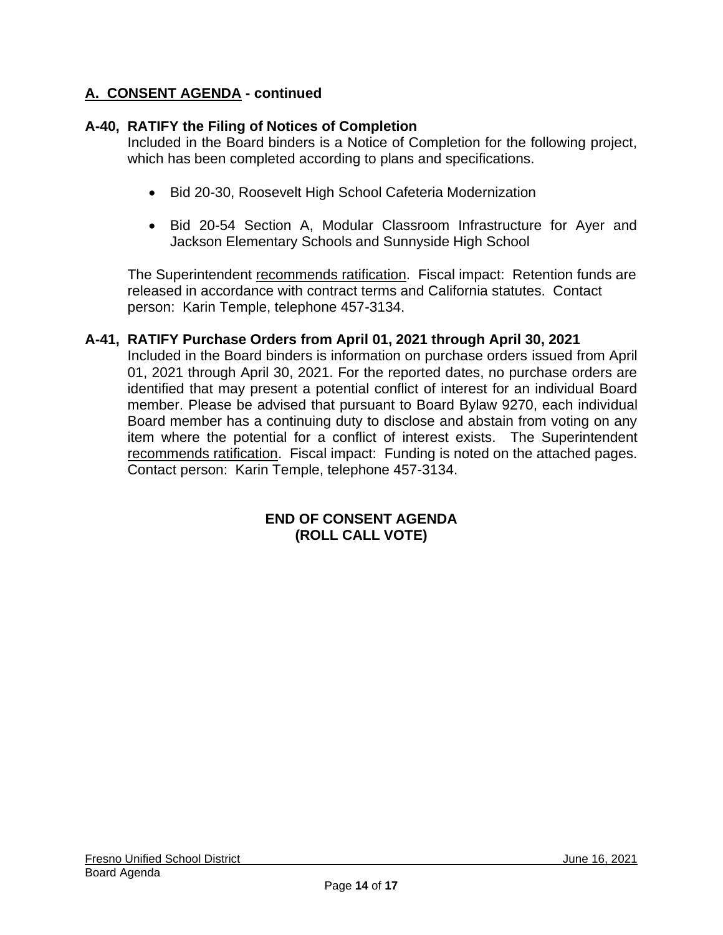### **A-40, RATIFY the Filing of Notices of Completion**

Included in the Board binders is a Notice of Completion for the following project, which has been completed according to plans and specifications.

- Bid 20-30, Roosevelt High School Cafeteria Modernization
- Bid 20-54 Section A, Modular Classroom Infrastructure for Ayer and Jackson Elementary Schools and Sunnyside High School

The Superintendent recommends ratification. Fiscal impact: Retention funds are released in accordance with contract terms and California statutes. Contact person: Karin Temple, telephone 457-3134.

### **A-41, RATIFY Purchase Orders from April 01, 2021 through April 30, 2021**

Included in the Board binders is information on purchase orders issued from April 01, 2021 through April 30, 2021. For the reported dates, no purchase orders are identified that may present a potential conflict of interest for an individual Board member. Please be advised that pursuant to Board Bylaw 9270, each individual Board member has a continuing duty to disclose and abstain from voting on any item where the potential for a conflict of interest exists. The Superintendent recommends ratification. Fiscal impact: Funding is noted on the attached pages. Contact person: Karin Temple, telephone 457-3134.

#### **END OF CONSENT AGENDA (ROLL CALL VOTE)**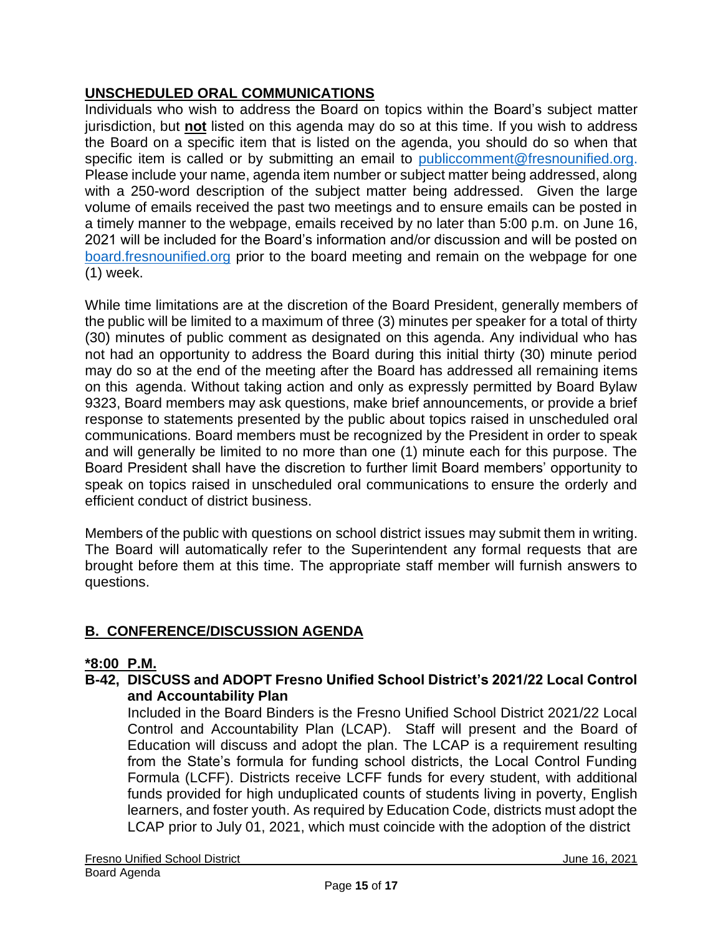# **UNSCHEDULED ORAL COMMUNICATIONS**

Individuals who wish to address the Board on topics within the Board's subject matter jurisdiction, but **not** listed on this agenda may do so at this time. If you wish to address the Board on a specific item that is listed on the agenda, you should do so when that specific item is called or by submitting an email to [publiccomment@fresnounified.org.](mailto:publiccomment@fresnounified.org) Please include your name, agenda item number or subject matter being addressed, along with a 250-word description of the subject matter being addressed. Given the large volume of emails received the past two meetings and to ensure emails can be posted in a timely manner to the webpage, emails received by no later than 5:00 p.m. on June 16, 2021 will be included for the Board's information and/or discussion and will be posted on [board.fresnounified.org](https://board.fresnounified.org/) prior to the board meeting and remain on the webpage for one (1) week.

While time limitations are at the discretion of the Board President, generally members of the public will be limited to a maximum of three (3) minutes per speaker for a total of thirty (30) minutes of public comment as designated on this agenda. Any individual who has not had an opportunity to address the Board during this initial thirty (30) minute period may do so at the end of the meeting after the Board has addressed all remaining items on this agenda. Without taking action and only as expressly permitted by Board Bylaw 9323, Board members may ask questions, make brief announcements, or provide a brief response to statements presented by the public about topics raised in unscheduled oral communications. Board members must be recognized by the President in order to speak and will generally be limited to no more than one (1) minute each for this purpose. The Board President shall have the discretion to further limit Board members' opportunity to speak on topics raised in unscheduled oral communications to ensure the orderly and efficient conduct of district business.

Members of the public with questions on school district issues may submit them in writing. The Board will automatically refer to the Superintendent any formal requests that are brought before them at this time. The appropriate staff member will furnish answers to questions.

# **B. CONFERENCE/DISCUSSION AGENDA**

# **\*8:00 P.M.**

### **B-42, DISCUSS and ADOPT Fresno Unified School District's 2021/22 Local Control and Accountability Plan**

Included in the Board Binders is the Fresno Unified School District 2021/22 Local Control and Accountability Plan (LCAP). Staff will present and the Board of Education will discuss and adopt the plan. The LCAP is a requirement resulting from the State's formula for funding school districts, the Local Control Funding Formula (LCFF). Districts receive LCFF funds for every student, with additional funds provided for high unduplicated counts of students living in poverty, English learners, and foster youth. As required by Education Code, districts must adopt the LCAP prior to July 01, 2021, which must coincide with the adoption of the district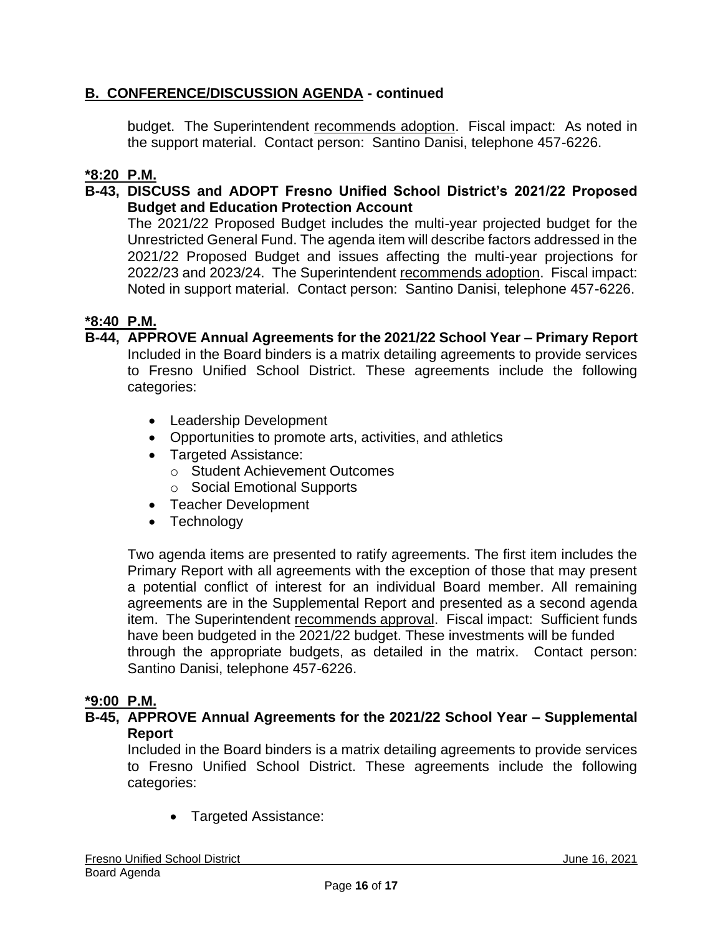# **B. CONFERENCE/DISCUSSION AGENDA - continued**

budget. The Superintendent recommends adoption. Fiscal impact: As noted in the support material. Contact person: Santino Danisi, telephone 457-6226.

# **\*8:20 P.M.**

### **B-43, DISCUSS and ADOPT Fresno Unified School District's 2021/22 Proposed Budget and Education Protection Account**

The 2021/22 Proposed Budget includes the multi-year projected budget for the Unrestricted General Fund. The agenda item will describe factors addressed in the 2021/22 Proposed Budget and issues affecting the multi-year projections for 2022/23 and 2023/24. The Superintendent recommends adoption. Fiscal impact: Noted in support material. Contact person: Santino Danisi, telephone 457-6226.

### **\*8:40 P.M.**

- **B-44, APPROVE Annual Agreements for the 2021/22 School Year – Primary Report** Included in the Board binders is a matrix detailing agreements to provide services to Fresno Unified School District. These agreements include the following categories:
	- Leadership Development
	- Opportunities to promote arts, activities, and athletics
	- Targeted Assistance:
		- o Student Achievement Outcomes
		- o Social Emotional Supports
	- Teacher Development
	- Technology

Two agenda items are presented to ratify agreements. The first item includes the Primary Report with all agreements with the exception of those that may present a potential conflict of interest for an individual Board member. All remaining agreements are in the Supplemental Report and presented as a second agenda item. The Superintendent recommends approval. Fiscal impact: Sufficient funds have been budgeted in the 2021/22 budget. These investments will be funded through the appropriate budgets, as detailed in the matrix. Contact person: Santino Danisi, telephone 457-6226.

#### **\*9:00 P.M.**

#### **B-45, APPROVE Annual Agreements for the 2021/22 School Year – Supplemental Report**

Included in the Board binders is a matrix detailing agreements to provide services to Fresno Unified School District. These agreements include the following categories:

• Targeted Assistance: